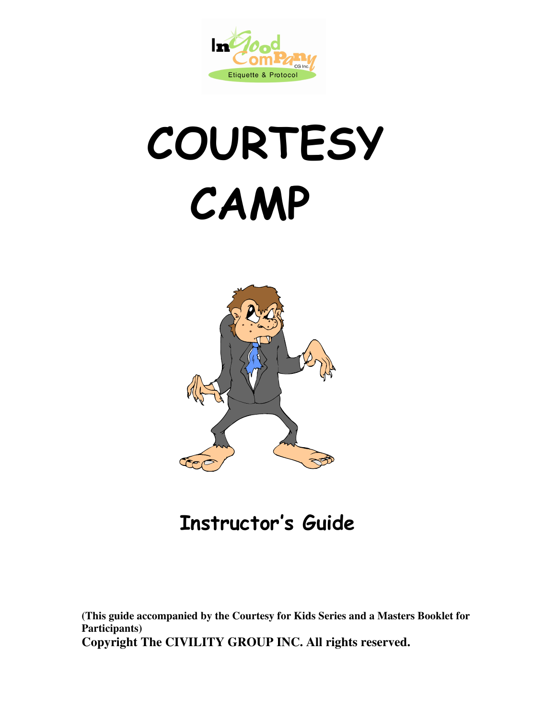

## **COURTESY** CAMP



## Instructor's Guide

**(This guide accompanied by the Courtesy for Kids Series and a Masters Booklet for Participants) Copyright The CIVILITY GROUP INC. All rights reserved.**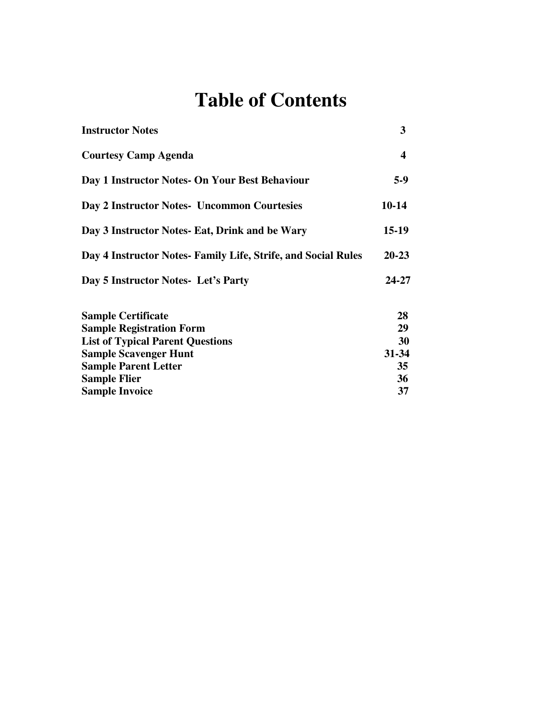## **Table of Contents**

| <b>Instructor Notes</b>                                       | 3         |
|---------------------------------------------------------------|-----------|
| <b>Courtesy Camp Agenda</b>                                   | 4         |
| Day 1 Instructor Notes- On Your Best Behaviour                | $5-9$     |
| Day 2 Instructor Notes- Uncommon Courtesies                   | $10-14$   |
| Day 3 Instructor Notes- Eat, Drink and be Wary                | $15-19$   |
| Day 4 Instructor Notes- Family Life, Strife, and Social Rules | $20 - 23$ |
| Day 5 Instructor Notes- Let's Party                           | 24-27     |
| <b>Sample Certificate</b>                                     | 28        |
| <b>Sample Registration Form</b>                               | 29        |
| <b>List of Typical Parent Questions</b>                       | 30        |
| <b>Sample Scavenger Hunt</b>                                  | 31-34     |
| <b>Sample Parent Letter</b>                                   | 35        |
| <b>Sample Flier</b>                                           | 36        |
| <b>Sample Invoice</b>                                         | 37        |